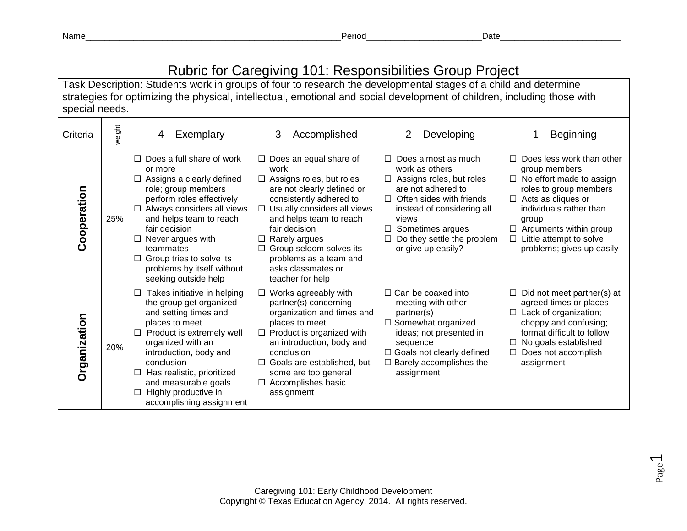Name\_\_\_\_\_\_\_\_\_\_\_\_\_\_\_\_\_\_\_\_\_\_\_\_\_\_\_\_\_\_\_\_\_\_\_\_\_\_\_\_\_\_\_\_\_\_\_\_\_\_\_\_\_Period\_\_\_\_\_\_\_\_\_\_\_\_\_\_\_\_\_\_\_\_\_\_\_\_Date\_\_\_\_\_\_\_\_\_\_\_\_\_\_\_\_\_\_\_\_\_\_\_\_\_

## Rubric for Caregiving 101: Responsibilities Group Project

Task Description: Students work in groups of four to research the developmental stages of a child and determine strategies for optimizing the physical, intellectual, emotional and social development of children, including those with special needs.

| Criteria     | weight | $4 - Exemplary$                                                                                                                                                                                                                                                                                                                                      | 3 - Accomplished                                                                                                                                                                                                                                                                                                                                | $2 -$ Developing                                                                                                                                                                                                                                                        | – Beginning                                                                                                                                                                                                                                                                      |
|--------------|--------|------------------------------------------------------------------------------------------------------------------------------------------------------------------------------------------------------------------------------------------------------------------------------------------------------------------------------------------------------|-------------------------------------------------------------------------------------------------------------------------------------------------------------------------------------------------------------------------------------------------------------------------------------------------------------------------------------------------|-------------------------------------------------------------------------------------------------------------------------------------------------------------------------------------------------------------------------------------------------------------------------|----------------------------------------------------------------------------------------------------------------------------------------------------------------------------------------------------------------------------------------------------------------------------------|
| Cooperation  | 25%    | $\Box$ Does a full share of work<br>or more<br>$\Box$ Assigns a clearly defined<br>role; group members<br>perform roles effectively<br>$\Box$ Always considers all views<br>and helps team to reach<br>fair decision<br>Never argues with<br>□<br>teammates<br>$\Box$ Group tries to solve its<br>problems by itself without<br>seeking outside help | $\Box$ Does an equal share of<br>work<br>$\Box$ Assigns roles, but roles<br>are not clearly defined or<br>consistently adhered to<br>$\Box$ Usually considers all views<br>and helps team to reach<br>fair decision<br>Rarely argues<br>□<br>$\Box$ Group seldom solves its<br>problems as a team and<br>asks classmates or<br>teacher for help | Does almost as much<br>$\Box$<br>work as others<br>$\Box$ Assigns roles, but roles<br>are not adhered to<br>Often sides with friends<br>$\Box$<br>instead of considering all<br>views<br>Sometimes argues<br>$\Box$<br>Do they settle the problem<br>or give up easily? | П<br>Does less work than other<br>group members<br>$\Box$ No effort made to assign<br>roles to group members<br>$\Box$ Acts as cliques or<br>individuals rather than<br>group<br>$\Box$ Arguments within group<br>Little attempt to solve<br>$\Box$<br>problems; gives up easily |
| Organization | 20%    | Takes initiative in helping<br>$\Box$<br>the group get organized<br>and setting times and<br>places to meet<br>Product is extremely well<br>$\Box$<br>organized with an<br>introduction, body and<br>conclusion<br>Has realistic, prioritized<br>□<br>and measurable goals<br>Highly productive in<br>□<br>accomplishing assignment                  | $\Box$ Works agreeably with<br>partner(s) concerning<br>organization and times and<br>places to meet<br>$\Box$ Product is organized with<br>an introduction, body and<br>conclusion<br>$\Box$ Goals are established, but<br>some are too general<br>$\Box$ Accomplishes basic<br>assignment                                                     | $\Box$ Can be coaxed into<br>meeting with other<br>partner(s)<br>$\square$ Somewhat organized<br>ideas; not presented in<br>sequence<br>$\Box$ Goals not clearly defined<br>$\Box$ Barely accomplishes the<br>assignment                                                | Did not meet partner(s) at<br>agreed times or places<br>$\Box$ Lack of organization;<br>choppy and confusing;<br>format difficult to follow<br>No goals established<br>□<br>Does not accomplish<br>assignment                                                                    |